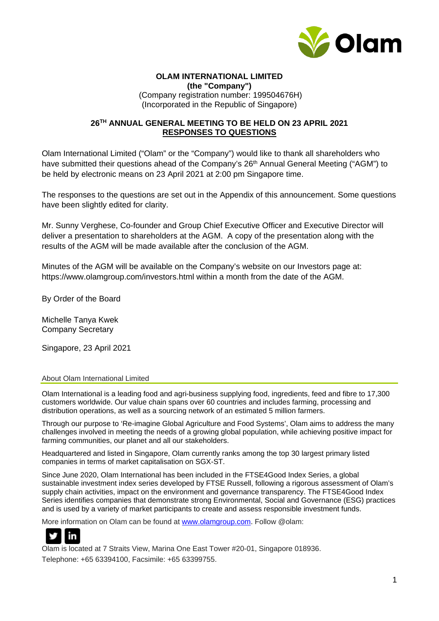

#### **OLAM INTERNATIONAL LIMITED (the "Company")** (Company registration number: 199504676H) (Incorporated in the Republic of Singapore)

#### **26TH ANNUAL GENERAL MEETING TO BE HELD ON 23 APRIL 2021 RESPONSES TO QUESTIONS**

Olam International Limited ("Olam" or the "Company") would like to thank all shareholders who have submitted their questions ahead of the Company's 26<sup>th</sup> Annual General Meeting ("AGM") to be held by electronic means on 23 April 2021 at 2:00 pm Singapore time.

The responses to the questions are set out in the Appendix of this announcement. Some questions have been slightly edited for clarity.

Mr. Sunny Verghese, Co-founder and Group Chief Executive Officer and Executive Director will deliver a presentation to shareholders at the AGM. A copy of the presentation along with the results of the AGM will be made available after the conclusion of the AGM.

Minutes of the AGM will be available on the Company's website on our Investors page at: https://www.olamgroup.com/investors.html within a month from the date of the AGM.

By Order of the Board

Michelle Tanya Kwek Company Secretary

Singapore, 23 April 2021

#### About Olam International Limited

Olam International is a leading food and agri-business supplying food, ingredients, feed and fibre to 17,300 customers worldwide. Our value chain spans over 60 countries and includes farming, processing and distribution operations, as well as a sourcing network of an estimated 5 million farmers.

Through our purpose to 'Re-imagine Global Agriculture and Food Systems', Olam aims to address the many challenges involved in meeting the needs of a growing global population, while achieving positive impact for farming communities, our planet and all our stakeholders.

Headquartered and listed in Singapore, Olam currently ranks among the top 30 largest primary listed companies in terms of market capitalisation on SGX-ST.

Since June 2020, Olam International has been included in the FTSE4Good Index Series, a global sustainable investment index series developed by FTSE Russell, following a rigorous assessment of Olam's supply chain activities, impact on the environment and governance transparency. The FTSE4Good Index Series identifies companies that demonstrate strong Environmental, Social and Governance (ESG) practices and is used by a variety of market participants to create and assess responsible investment funds.

More information on Olam can be found at [www.olamgroup.com.](http://www.olamgroup.com/) Follow @olam:



Olam is located at 7 Straits View, Marina One East Tower #20-01, Singapore 018936. Telephone: +65 63394100, Facsimile: +65 63399755.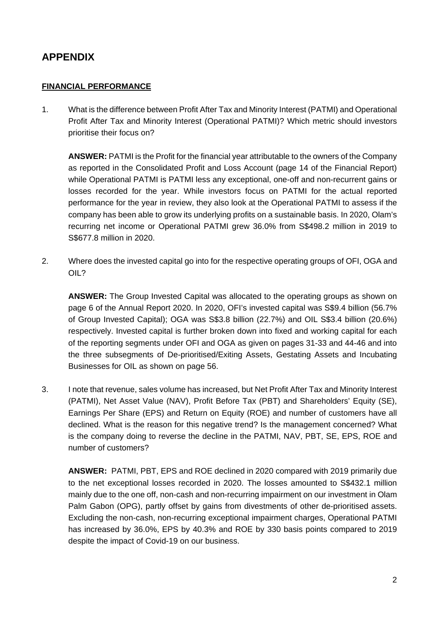# **APPENDIX**

#### **FINANCIAL PERFORMANCE**

1. What is the difference between Profit After Tax and Minority Interest (PATMI) and Operational Profit After Tax and Minority Interest (Operational PATMI)? Which metric should investors prioritise their focus on?

**ANSWER:** PATMI is the Profit for the financial year attributable to the owners of the Company as reported in the Consolidated Profit and Loss Account (page 14 of the Financial Report) while Operational PATMI is PATMI less any exceptional, one-off and non-recurrent gains or losses recorded for the year. While investors focus on PATMI for the actual reported performance for the year in review, they also look at the Operational PATMI to assess if the company has been able to grow its underlying profits on a sustainable basis. In 2020, Olam's recurring net income or Operational PATMI grew 36.0% from S\$498.2 million in 2019 to S\$677.8 million in 2020.

2. Where does the invested capital go into for the respective operating groups of OFI, OGA and OIL?

**ANSWER:** The Group Invested Capital was allocated to the operating groups as shown on page 6 of the Annual Report 2020. In 2020, OFI's invested capital was S\$9.4 billion (56.7% of Group Invested Capital); OGA was S\$3.8 billion (22.7%) and OIL S\$3.4 billion (20.6%) respectively. Invested capital is further broken down into fixed and working capital for each of the reporting segments under OFI and OGA as given on pages 31-33 and 44-46 and into the three subsegments of De-prioritised/Exiting Assets, Gestating Assets and Incubating Businesses for OIL as shown on page 56.

3. I note that revenue, sales volume has increased, but Net Profit After Tax and Minority Interest (PATMI), Net Asset Value (NAV), Profit Before Tax (PBT) and Shareholders' Equity (SE), Earnings Per Share (EPS) and Return on Equity (ROE) and number of customers have all declined. What is the reason for this negative trend? Is the management concerned? What is the company doing to reverse the decline in the PATMI, NAV, PBT, SE, EPS, ROE and number of customers?

**ANSWER:** PATMI, PBT, EPS and ROE declined in 2020 compared with 2019 primarily due to the net exceptional losses recorded in 2020. The losses amounted to S\$432.1 million mainly due to the one off, non-cash and non-recurring impairment on our investment in Olam Palm Gabon (OPG), partly offset by gains from divestments of other de-prioritised assets. Excluding the non-cash, non-recurring exceptional impairment charges, Operational PATMI has increased by 36.0%, EPS by 40.3% and ROE by 330 basis points compared to 2019 despite the impact of Covid-19 on our business.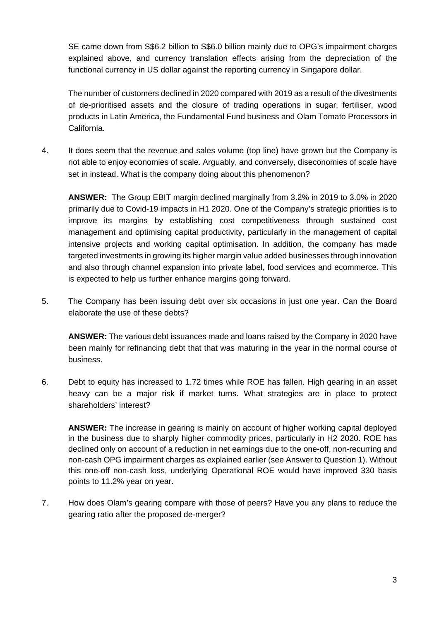SE came down from S\$6.2 billion to S\$6.0 billion mainly due to OPG's impairment charges explained above, and currency translation effects arising from the depreciation of the functional currency in US dollar against the reporting currency in Singapore dollar.

The number of customers declined in 2020 compared with 2019 as a result of the divestments of de-prioritised assets and the closure of trading operations in sugar, fertiliser, wood products in Latin America, the Fundamental Fund business and Olam Tomato Processors in California.

4. It does seem that the revenue and sales volume (top line) have grown but the Company is not able to enjoy economies of scale. Arguably, and conversely, diseconomies of scale have set in instead. What is the company doing about this phenomenon?

**ANSWER:** The Group EBIT margin declined marginally from 3.2% in 2019 to 3.0% in 2020 primarily due to Covid-19 impacts in H1 2020. One of the Company's strategic priorities is to improve its margins by establishing cost competitiveness through sustained cost management and optimising capital productivity, particularly in the management of capital intensive projects and working capital optimisation. In addition, the company has made targeted investments in growing its higher margin value added businesses through innovation and also through channel expansion into private label, food services and ecommerce. This is expected to help us further enhance margins going forward.

5. The Company has been issuing debt over six occasions in just one year. Can the Board elaborate the use of these debts?

**ANSWER:** The various debt issuances made and loans raised by the Company in 2020 have been mainly for refinancing debt that that was maturing in the year in the normal course of business.

6. Debt to equity has increased to 1.72 times while ROE has fallen. High gearing in an asset heavy can be a major risk if market turns. What strategies are in place to protect shareholders' interest?

**ANSWER:** The increase in gearing is mainly on account of higher working capital deployed in the business due to sharply higher commodity prices, particularly in H2 2020. ROE has declined only on account of a reduction in net earnings due to the one-off, non-recurring and non-cash OPG impairment charges as explained earlier (see Answer to Question 1). Without this one-off non-cash loss, underlying Operational ROE would have improved 330 basis points to 11.2% year on year.

7. How does Olam's gearing compare with those of peers? Have you any plans to reduce the gearing ratio after the proposed de-merger?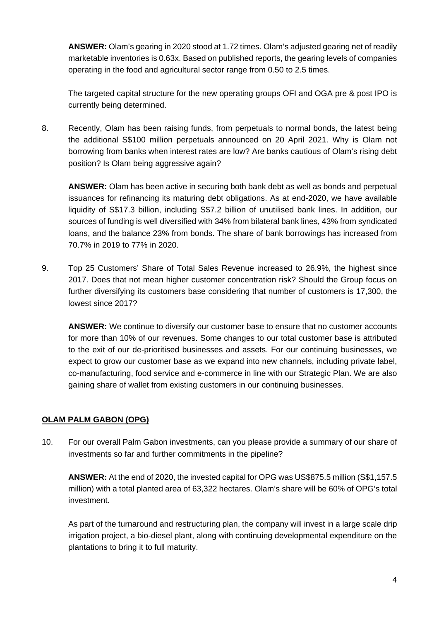**ANSWER:** Olam's gearing in 2020 stood at 1.72 times. Olam's adjusted gearing net of readily marketable inventories is 0.63x. Based on published reports, the gearing levels of companies operating in the food and agricultural sector range from 0.50 to 2.5 times.

The targeted capital structure for the new operating groups OFI and OGA pre & post IPO is currently being determined.

8. Recently, Olam has been raising funds, from perpetuals to normal bonds, the latest being the additional S\$100 million perpetuals announced on 20 April 2021. Why is Olam not borrowing from banks when interest rates are low? Are banks cautious of Olam's rising debt position? Is Olam being aggressive again?

**ANSWER:** Olam has been active in securing both bank debt as well as bonds and perpetual issuances for refinancing its maturing debt obligations. As at end-2020, we have available liquidity of S\$17.3 billion, including S\$7.2 billion of unutilised bank lines. In addition, our sources of funding is well diversified with 34% from bilateral bank lines, 43% from syndicated loans, and the balance 23% from bonds. The share of bank borrowings has increased from 70.7% in 2019 to 77% in 2020.

9. Top 25 Customers' Share of Total Sales Revenue increased to 26.9%, the highest since 2017. Does that not mean higher customer concentration risk? Should the Group focus on further diversifying its customers base considering that number of customers is 17,300, the lowest since 2017?

**ANSWER:** We continue to diversify our customer base to ensure that no customer accounts for more than 10% of our revenues. Some changes to our total customer base is attributed to the exit of our de-prioritised businesses and assets. For our continuing businesses, we expect to grow our customer base as we expand into new channels, including private label, co-manufacturing, food service and e-commerce in line with our Strategic Plan. We are also gaining share of wallet from existing customers in our continuing businesses.

# **OLAM PALM GABON (OPG)**

10. For our overall Palm Gabon investments, can you please provide a summary of our share of investments so far and further commitments in the pipeline?

**ANSWER:** At the end of 2020, the invested capital for OPG was US\$875.5 million (S\$1,157.5 million) with a total planted area of 63,322 hectares. Olam's share will be 60% of OPG's total investment.

As part of the turnaround and restructuring plan, the company will invest in a large scale drip irrigation project, a bio-diesel plant, along with continuing developmental expenditure on the plantations to bring it to full maturity.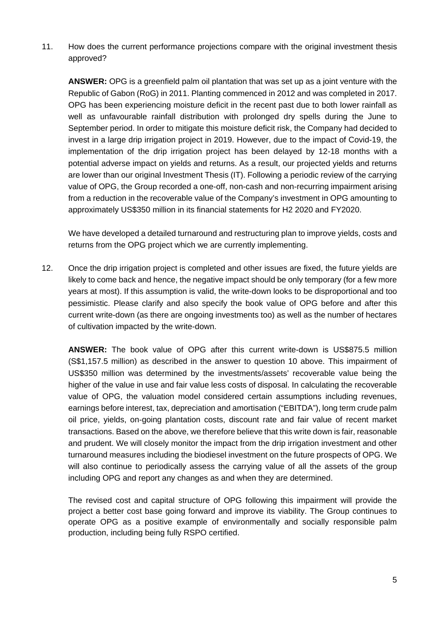11. How does the current performance projections compare with the original investment thesis approved?

**ANSWER:** OPG is a greenfield palm oil plantation that was set up as a joint venture with the Republic of Gabon (RoG) in 2011. Planting commenced in 2012 and was completed in 2017. OPG has been experiencing moisture deficit in the recent past due to both lower rainfall as well as unfavourable rainfall distribution with prolonged dry spells during the June to September period. In order to mitigate this moisture deficit risk, the Company had decided to invest in a large drip irrigation project in 2019. However, due to the impact of Covid-19, the implementation of the drip irrigation project has been delayed by 12-18 months with a potential adverse impact on yields and returns. As a result, our projected yields and returns are lower than our original Investment Thesis (IT). Following a periodic review of the carrying value of OPG, the Group recorded a one-off, non-cash and non-recurring impairment arising from a reduction in the recoverable value of the Company's investment in OPG amounting to approximately US\$350 million in its financial statements for H2 2020 and FY2020.

We have developed a detailed turnaround and restructuring plan to improve yields, costs and returns from the OPG project which we are currently implementing.

12. Once the drip irrigation project is completed and other issues are fixed, the future yields are likely to come back and hence, the negative impact should be only temporary (for a few more years at most). If this assumption is valid, the write-down looks to be disproportional and too pessimistic. Please clarify and also specify the book value of OPG before and after this current write-down (as there are ongoing investments too) as well as the number of hectares of cultivation impacted by the write-down.

**ANSWER:** The book value of OPG after this current write-down is US\$875.5 million (S\$1,157.5 million) as described in the answer to question 10 above. This impairment of US\$350 million was determined by the investments/assets' recoverable value being the higher of the value in use and fair value less costs of disposal. In calculating the recoverable value of OPG, the valuation model considered certain assumptions including revenues, earnings before interest, tax, depreciation and amortisation ("EBITDA"), long term crude palm oil price, yields, on-going plantation costs, discount rate and fair value of recent market transactions. Based on the above, we therefore believe that this write down is fair, reasonable and prudent. We will closely monitor the impact from the drip irrigation investment and other turnaround measures including the biodiesel investment on the future prospects of OPG. We will also continue to periodically assess the carrying value of all the assets of the group including OPG and report any changes as and when they are determined.

The revised cost and capital structure of OPG following this impairment will provide the project a better cost base going forward and improve its viability. The Group continues to operate OPG as a positive example of environmentally and socially responsible palm production, including being fully RSPO certified.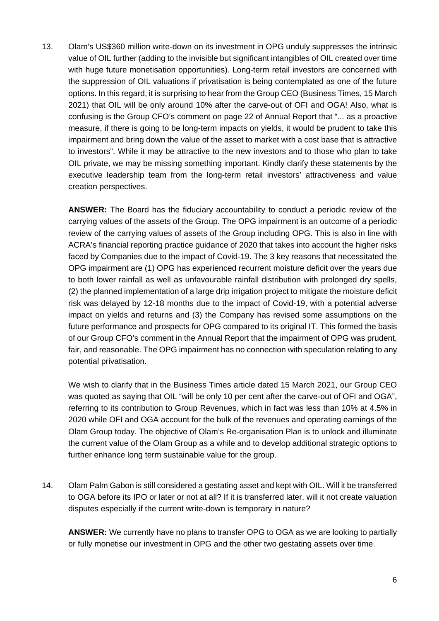13. Olam's US\$360 million write-down on its investment in OPG unduly suppresses the intrinsic value of OIL further (adding to the invisible but significant intangibles of OIL created over time with huge future monetisation opportunities). Long-term retail investors are concerned with the suppression of OIL valuations if privatisation is being contemplated as one of the future options. In this regard, it is surprising to hear from the Group CEO (Business Times, 15 March 2021) that OIL will be only around 10% after the carve-out of OFI and OGA! Also, what is confusing is the Group CFO's comment on page 22 of Annual Report that "... as a proactive measure, if there is going to be long-term impacts on yields, it would be prudent to take this impairment and bring down the value of the asset to market with a cost base that is attractive to investors". While it may be attractive to the new investors and to those who plan to take OIL private, we may be missing something important. Kindly clarify these statements by the executive leadership team from the long-term retail investors' attractiveness and value creation perspectives.

**ANSWER:** The Board has the fiduciary accountability to conduct a periodic review of the carrying values of the assets of the Group. The OPG impairment is an outcome of a periodic review of the carrying values of assets of the Group including OPG. This is also in line with ACRA's financial reporting practice guidance of 2020 that takes into account the higher risks faced by Companies due to the impact of Covid-19. The 3 key reasons that necessitated the OPG impairment are (1) OPG has experienced recurrent moisture deficit over the years due to both lower rainfall as well as unfavourable rainfall distribution with prolonged dry spells, (2) the planned implementation of a large drip irrigation project to mitigate the moisture deficit risk was delayed by 12-18 months due to the impact of Covid-19, with a potential adverse impact on yields and returns and (3) the Company has revised some assumptions on the future performance and prospects for OPG compared to its original IT. This formed the basis of our Group CFO's comment in the Annual Report that the impairment of OPG was prudent, fair, and reasonable. The OPG impairment has no connection with speculation relating to any potential privatisation.

We wish to clarify that in the Business Times article dated 15 March 2021, our Group CEO was quoted as saying that OIL "will be only 10 per cent after the carve-out of OFI and OGA", referring to its contribution to Group Revenues, which in fact was less than 10% at 4.5% in 2020 while OFI and OGA account for the bulk of the revenues and operating earnings of the Olam Group today. The objective of Olam's Re-organisation Plan is to unlock and illuminate the current value of the Olam Group as a while and to develop additional strategic options to further enhance long term sustainable value for the group.

14. Olam Palm Gabon is still considered a gestating asset and kept with OIL. Will it be transferred to OGA before its IPO or later or not at all? If it is transferred later, will it not create valuation disputes especially if the current write-down is temporary in nature?

**ANSWER:** We currently have no plans to transfer OPG to OGA as we are looking to partially or fully monetise our investment in OPG and the other two gestating assets over time.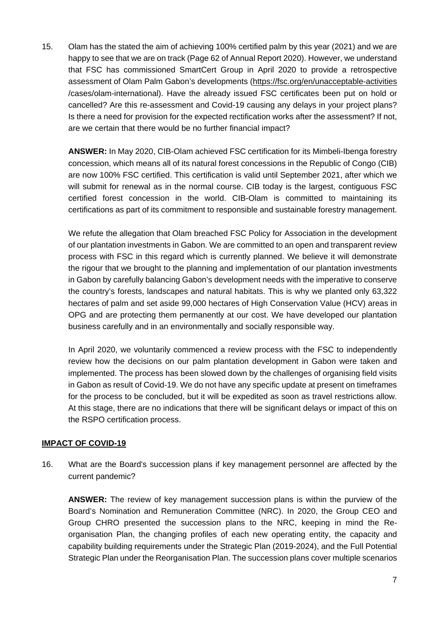15. Olam has the stated the aim of achieving 100% certified palm by this year (2021) and we are happy to see that we are on track (Page 62 of Annual Report 2020). However, we understand that FSC has commissioned SmartCert Group in April 2020 to provide a retrospective assessment of Olam Palm Gabon's developments [\(https://fsc.org/en/unacceptable-activities](https://fsc.org/en/unacceptable-activities) /cases/olam-international). Have the already issued FSC certificates been put on hold or cancelled? Are this re-assessment and Covid-19 causing any delays in your project plans? Is there a need for provision for the expected rectification works after the assessment? If not, are we certain that there would be no further financial impact?

**ANSWER:** In May 2020, CIB-Olam achieved FSC certification for its Mimbeli-Ibenga forestry concession, which means all of its natural forest concessions in the Republic of Congo (CIB) are now 100% FSC certified. This certification is valid until September 2021, after which we will submit for renewal as in the normal course. CIB today is the largest, contiguous FSC certified forest concession in the world. CIB-Olam is committed to maintaining its certifications as part of its commitment to responsible and sustainable forestry management.

We refute the allegation that Olam breached FSC Policy for Association in the development of our plantation investments in Gabon. We are committed to an open and transparent review process with FSC in this regard which is currently planned. We believe it will demonstrate the rigour that we brought to the planning and implementation of our plantation investments in Gabon by carefully balancing Gabon's development needs with the imperative to conserve the country's forests, landscapes and natural habitats. This is why we planted only 63,322 hectares of palm and set aside 99,000 hectares of High Conservation Value (HCV) areas in OPG and are protecting them permanently at our cost. We have developed our plantation business carefully and in an environmentally and socially responsible way.

In April 2020, we voluntarily commenced a review process with the FSC to independently review how the decisions on our palm plantation development in Gabon were taken and implemented. The process has been slowed down by the challenges of organising field visits in Gabon as result of Covid-19. We do not have any specific update at present on timeframes for the process to be concluded, but it will be expedited as soon as travel restrictions allow. At this stage, there are no indications that there will be significant delays or impact of this on the RSPO certification process.

# **IMPACT OF COVID-19**

16. What are the Board's succession plans if key management personnel are affected by the current pandemic?

**ANSWER:** The review of key management succession plans is within the purview of the Board's Nomination and Remuneration Committee (NRC). In 2020, the Group CEO and Group CHRO presented the succession plans to the NRC, keeping in mind the Reorganisation Plan, the changing profiles of each new operating entity, the capacity and capability building requirements under the Strategic Plan (2019-2024), and the Full Potential Strategic Plan under the Reorganisation Plan. The succession plans cover multiple scenarios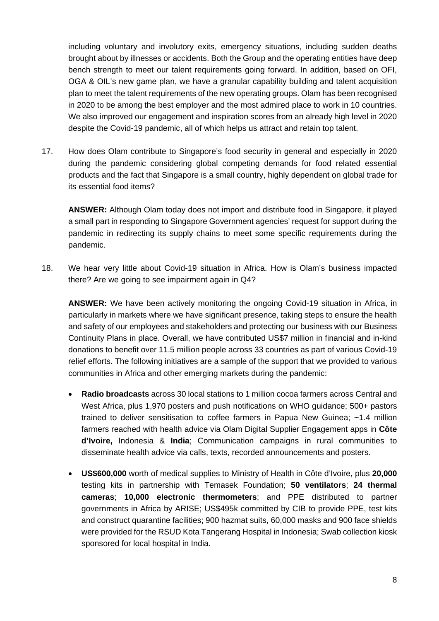including voluntary and involutory exits, emergency situations, including sudden deaths brought about by illnesses or accidents. Both the Group and the operating entities have deep bench strength to meet our talent requirements going forward. In addition, based on OFI, OGA & OIL's new game plan, we have a granular capability building and talent acquisition plan to meet the talent requirements of the new operating groups. Olam has been recognised in 2020 to be among the best employer and the most admired place to work in 10 countries. We also improved our engagement and inspiration scores from an already high level in 2020 despite the Covid-19 pandemic, all of which helps us attract and retain top talent.

17. How does Olam contribute to Singapore's food security in general and especially in 2020 during the pandemic considering global competing demands for food related essential products and the fact that Singapore is a small country, highly dependent on global trade for its essential food items?

**ANSWER:** Although Olam today does not import and distribute food in Singapore, it played a small part in responding to Singapore Government agencies' request for support during the pandemic in redirecting its supply chains to meet some specific requirements during the pandemic.

18. We hear very little about Covid-19 situation in Africa. How is Olam's business impacted there? Are we going to see impairment again in Q4?

**ANSWER:** We have been actively monitoring the ongoing Covid-19 situation in Africa, in particularly in markets where we have significant presence, taking steps to ensure the health and safety of our employees and stakeholders and protecting our business with our Business Continuity Plans in place. Overall, we have contributed US\$7 million in financial and in-kind donations to benefit over 11.5 million people across 33 countries as part of various Covid-19 relief efforts. The following initiatives are a sample of the support that we provided to various communities in Africa and other emerging markets during the pandemic:

- **Radio broadcasts** across 30 local stations to 1 million cocoa farmers across Central and West Africa, plus 1,970 posters and push notifications on WHO guidance; 500+ pastors trained to deliver sensitisation to coffee farmers in Papua New Guinea; ~1.4 million farmers reached with health advice via Olam Digital Supplier Engagement apps in **Côte d'Ivoire,** Indonesia & **India**; Communication campaigns in rural communities to disseminate health advice via calls, texts, recorded announcements and posters.
- **US\$600,000** worth of medical supplies to Ministry of Health in Côte d'Ivoire, plus **20,000** testing kits in partnership with Temasek Foundation; **50 ventilators**; **24 thermal cameras**; **10,000 electronic thermometers**; and PPE distributed to partner governments in Africa by ARISE; US\$495k committed by CIB to provide PPE, test kits and construct quarantine facilities; 900 hazmat suits, 60,000 masks and 900 face shields were provided for the RSUD Kota Tangerang Hospital in Indonesia; Swab collection kiosk sponsored for local hospital in India.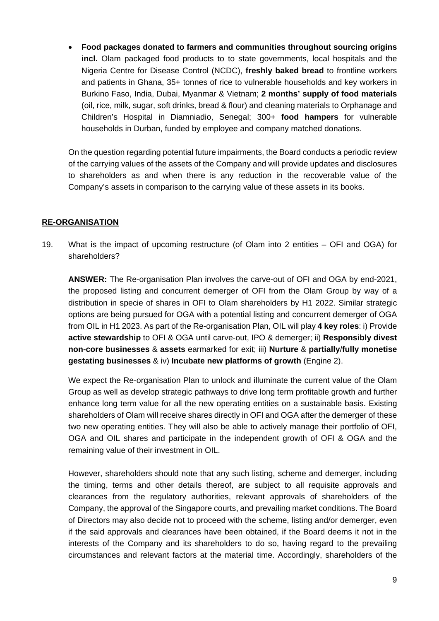• **Food packages donated to farmers and communities throughout sourcing origins incl.** Olam packaged food products to to state governments, local hospitals and the Nigeria Centre for Disease Control (NCDC), **freshly baked bread** to frontline workers and patients in Ghana, 35+ tonnes of rice to vulnerable households and key workers in Burkino Faso, India, Dubai, Myanmar & Vietnam; **2 months' supply of food materials**  (oil, rice, milk, sugar, soft drinks, bread & flour) and cleaning materials to Orphanage and Children's Hospital in Diamniadio, Senegal; 300+ **food hampers** for vulnerable households in Durban, funded by employee and company matched donations.

On the question regarding potential future impairments, the Board conducts a periodic review of the carrying values of the assets of the Company and will provide updates and disclosures to shareholders as and when there is any reduction in the recoverable value of the Company's assets in comparison to the carrying value of these assets in its books.

#### **RE-ORGANISATION**

19. What is the impact of upcoming restructure (of Olam into 2 entities – OFI and OGA) for shareholders?

**ANSWER:** The Re-organisation Plan involves the carve-out of OFI and OGA by end-2021, the proposed listing and concurrent demerger of OFI from the Olam Group by way of a distribution in specie of shares in OFI to Olam shareholders by H1 2022. Similar strategic options are being pursued for OGA with a potential listing and concurrent demerger of OGA from OIL in H1 2023. As part of the Re-organisation Plan, OIL will play **4 key roles**: i) Provide **active stewardship** to OFI & OGA until carve-out, IPO & demerger; ii) **Responsibly divest non-core businesses** & **assets** earmarked for exit; iii) **Nurture** & **partially**/**fully monetise gestating businesses** & iv) **Incubate new platforms of growth** (Engine 2).

We expect the Re-organisation Plan to unlock and illuminate the current value of the Olam Group as well as develop strategic pathways to drive long term profitable growth and further enhance long term value for all the new operating entities on a sustainable basis. Existing shareholders of Olam will receive shares directly in OFI and OGA after the demerger of these two new operating entities. They will also be able to actively manage their portfolio of OFI, OGA and OIL shares and participate in the independent growth of OFI & OGA and the remaining value of their investment in OIL.

However, shareholders should note that any such listing, scheme and demerger, including the timing, terms and other details thereof, are subject to all requisite approvals and clearances from the regulatory authorities, relevant approvals of shareholders of the Company, the approval of the Singapore courts, and prevailing market conditions. The Board of Directors may also decide not to proceed with the scheme, listing and/or demerger, even if the said approvals and clearances have been obtained, if the Board deems it not in the interests of the Company and its shareholders to do so, having regard to the prevailing circumstances and relevant factors at the material time. Accordingly, shareholders of the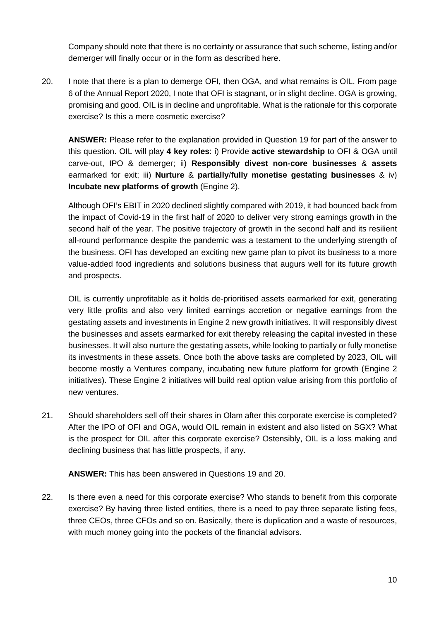Company should note that there is no certainty or assurance that such scheme, listing and/or demerger will finally occur or in the form as described here.

20. I note that there is a plan to demerge OFI, then OGA, and what remains is OIL. From page 6 of the Annual Report 2020, I note that OFI is stagnant, or in slight decline. OGA is growing, promising and good. OIL is in decline and unprofitable. What is the rationale for this corporate exercise? Is this a mere cosmetic exercise?

**ANSWER:** Please refer to the explanation provided in Question 19 for part of the answer to this question. OIL will play **4 key roles**: i) Provide **active stewardship** to OFI & OGA until carve-out, IPO & demerger; ii) **Responsibly divest non-core businesses** & **assets**  earmarked for exit; iii) **Nurture** & **partially**/**fully monetise gestating businesses** & iv) **Incubate new platforms of growth** (Engine 2).

Although OFI's EBIT in 2020 declined slightly compared with 2019, it had bounced back from the impact of Covid-19 in the first half of 2020 to deliver very strong earnings growth in the second half of the year. The positive trajectory of growth in the second half and its resilient all-round performance despite the pandemic was a testament to the underlying strength of the business. OFI has developed an exciting new game plan to pivot its business to a more value-added food ingredients and solutions business that augurs well for its future growth and prospects.

OIL is currently unprofitable as it holds de-prioritised assets earmarked for exit, generating very little profits and also very limited earnings accretion or negative earnings from the gestating assets and investments in Engine 2 new growth initiatives. It will responsibly divest the businesses and assets earmarked for exit thereby releasing the capital invested in these businesses. It will also nurture the gestating assets, while looking to partially or fully monetise its investments in these assets. Once both the above tasks are completed by 2023, OIL will become mostly a Ventures company, incubating new future platform for growth (Engine 2 initiatives). These Engine 2 initiatives will build real option value arising from this portfolio of new ventures.

21. Should shareholders sell off their shares in Olam after this corporate exercise is completed? After the IPO of OFI and OGA, would OIL remain in existent and also listed on SGX? What is the prospect for OIL after this corporate exercise? Ostensibly, OIL is a loss making and declining business that has little prospects, if any.

**ANSWER:** This has been answered in Questions 19 and 20.

22. Is there even a need for this corporate exercise? Who stands to benefit from this corporate exercise? By having three listed entities, there is a need to pay three separate listing fees, three CEOs, three CFOs and so on. Basically, there is duplication and a waste of resources, with much money going into the pockets of the financial advisors.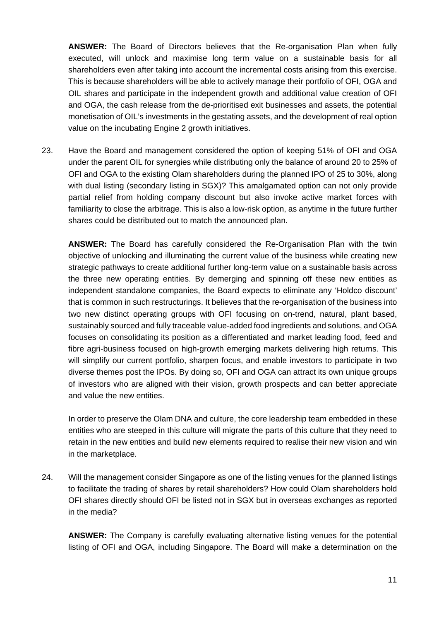**ANSWER:** The Board of Directors believes that the Re-organisation Plan when fully executed, will unlock and maximise long term value on a sustainable basis for all shareholders even after taking into account the incremental costs arising from this exercise. This is because shareholders will be able to actively manage their portfolio of OFI, OGA and OIL shares and participate in the independent growth and additional value creation of OFI and OGA, the cash release from the de-prioritised exit businesses and assets, the potential monetisation of OIL's investments in the gestating assets, and the development of real option value on the incubating Engine 2 growth initiatives.

23. Have the Board and management considered the option of keeping 51% of OFI and OGA under the parent OIL for synergies while distributing only the balance of around 20 to 25% of OFI and OGA to the existing Olam shareholders during the planned IPO of 25 to 30%, along with dual listing (secondary listing in SGX)? This amalgamated option can not only provide partial relief from holding company discount but also invoke active market forces with familiarity to close the arbitrage. This is also a low-risk option, as anytime in the future further shares could be distributed out to match the announced plan.

**ANSWER:** The Board has carefully considered the Re-Organisation Plan with the twin objective of unlocking and illuminating the current value of the business while creating new strategic pathways to create additional further long-term value on a sustainable basis across the three new operating entities. By demerging and spinning off these new entities as independent standalone companies, the Board expects to eliminate any 'Holdco discount' that is common in such restructurings. It believes that the re-organisation of the business into two new distinct operating groups with OFI focusing on on-trend, natural, plant based, sustainably sourced and fully traceable value-added food ingredients and solutions, and OGA focuses on consolidating its position as a differentiated and market leading food, feed and fibre agri-business focused on high-growth emerging markets delivering high returns. This will simplify our current portfolio, sharpen focus, and enable investors to participate in two diverse themes post the IPOs. By doing so, OFI and OGA can attract its own unique groups of investors who are aligned with their vision, growth prospects and can better appreciate and value the new entities.

In order to preserve the Olam DNA and culture, the core leadership team embedded in these entities who are steeped in this culture will migrate the parts of this culture that they need to retain in the new entities and build new elements required to realise their new vision and win in the marketplace.

24. Will the management consider Singapore as one of the listing venues for the planned listings to facilitate the trading of shares by retail shareholders? How could Olam shareholders hold OFI shares directly should OFI be listed not in SGX but in overseas exchanges as reported in the media?

**ANSWER:** The Company is carefully evaluating alternative listing venues for the potential listing of OFI and OGA, including Singapore. The Board will make a determination on the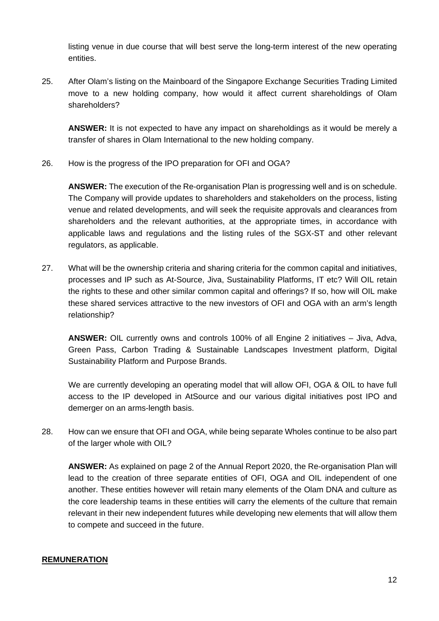listing venue in due course that will best serve the long-term interest of the new operating entities.

25. After Olam's listing on the Mainboard of the Singapore Exchange Securities Trading Limited move to a new holding company, how would it affect current shareholdings of Olam shareholders?

**ANSWER:** It is not expected to have any impact on shareholdings as it would be merely a transfer of shares in Olam International to the new holding company.

26. How is the progress of the IPO preparation for OFI and OGA?

**ANSWER:** The execution of the Re-organisation Plan is progressing well and is on schedule. The Company will provide updates to shareholders and stakeholders on the process, listing venue and related developments, and will seek the requisite approvals and clearances from shareholders and the relevant authorities, at the appropriate times, in accordance with applicable laws and regulations and the listing rules of the SGX-ST and other relevant regulators, as applicable.

27. What will be the ownership criteria and sharing criteria for the common capital and initiatives, processes and IP such as At-Source, Jiva, Sustainability Platforms, IT etc? Will OIL retain the rights to these and other similar common capital and offerings? If so, how will OIL make these shared services attractive to the new investors of OFI and OGA with an arm's length relationship?

**ANSWER:** OIL currently owns and controls 100% of all Engine 2 initiatives – Jiva, Adva, Green Pass, Carbon Trading & Sustainable Landscapes Investment platform, Digital Sustainability Platform and Purpose Brands.

We are currently developing an operating model that will allow OFI, OGA & OIL to have full access to the IP developed in AtSource and our various digital initiatives post IPO and demerger on an arms-length basis.

28. How can we ensure that OFI and OGA, while being separate Wholes continue to be also part of the larger whole with OIL?

**ANSWER:** As explained on page 2 of the Annual Report 2020, the Re-organisation Plan will lead to the creation of three separate entities of OFI, OGA and OIL independent of one another. These entities however will retain many elements of the Olam DNA and culture as the core leadership teams in these entities will carry the elements of the culture that remain relevant in their new independent futures while developing new elements that will allow them to compete and succeed in the future.

# **REMUNERATION**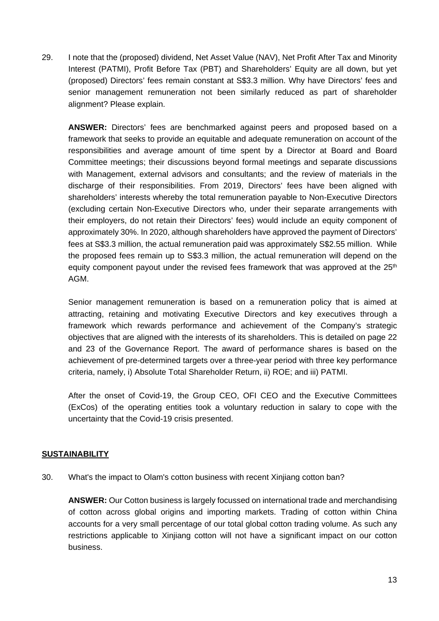29. I note that the (proposed) dividend, Net Asset Value (NAV), Net Profit After Tax and Minority Interest (PATMI), Profit Before Tax (PBT) and Shareholders' Equity are all down, but yet (proposed) Directors' fees remain constant at S\$3.3 million. Why have Directors' fees and senior management remuneration not been similarly reduced as part of shareholder alignment? Please explain.

**ANSWER:** Directors' fees are benchmarked against peers and proposed based on a framework that seeks to provide an equitable and adequate remuneration on account of the responsibilities and average amount of time spent by a Director at Board and Board Committee meetings; their discussions beyond formal meetings and separate discussions with Management, external advisors and consultants; and the review of materials in the discharge of their responsibilities. From 2019, Directors' fees have been aligned with shareholders' interests whereby the total remuneration payable to Non-Executive Directors (excluding certain Non-Executive Directors who, under their separate arrangements with their employers, do not retain their Directors' fees) would include an equity component of approximately 30%. In 2020, although shareholders have approved the payment of Directors' fees at S\$3.3 million, the actual remuneration paid was approximately S\$2.55 million. While the proposed fees remain up to S\$3.3 million, the actual remuneration will depend on the equity component payout under the revised fees framework that was approved at the  $25<sup>th</sup>$ AGM.

Senior management remuneration is based on a remuneration policy that is aimed at attracting, retaining and motivating Executive Directors and key executives through a framework which rewards performance and achievement of the Company's strategic objectives that are aligned with the interests of its shareholders. This is detailed on page 22 and 23 of the Governance Report. The award of performance shares is based on the achievement of pre-determined targets over a three-year period with three key performance criteria, namely, i) Absolute Total Shareholder Return, ii) ROE; and iii) PATMI.

After the onset of Covid-19, the Group CEO, OFI CEO and the Executive Committees (ExCos) of the operating entities took a voluntary reduction in salary to cope with the uncertainty that the Covid-19 crisis presented.

# **SUSTAINABILITY**

30. What's the impact to Olam's cotton business with recent Xinjiang cotton ban?

**ANSWER:** Our Cotton business is largely focussed on international trade and merchandising of cotton across global origins and importing markets. Trading of cotton within China accounts for a very small percentage of our total global cotton trading volume. As such any restrictions applicable to Xinjiang cotton will not have a significant impact on our cotton business.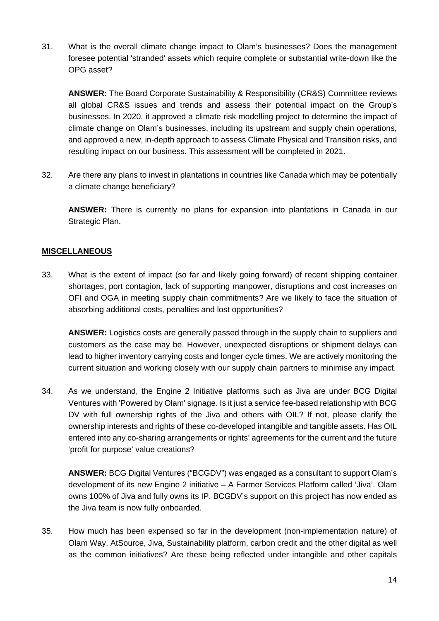31. What is the overall climate change impact to Olam's businesses? Does the management foresee potential 'stranded' assets which require complete or substantial write-down like the OPG asset?

**ANSWER:** The Board Corporate Sustainability & Responsibility (CR&S) Committee reviews all global CR&S issues and trends and assess their potential impact on the Group's businesses. In 2020, it approved a climate risk modelling project to determine the impact of climate change on Olam's businesses, including its upstream and supply chain operations, and approved a new, in-depth approach to assess Climate Physical and Transition risks, and resulting impact on our business. This assessment will be completed in 2021.

32. Are there any plans to invest in plantations in countries like Canada which may be potentially a climate change beneficiary?

**ANSWER:** There is currently no plans for expansion into plantations in Canada in our Strategic Plan.

# **MISCELLANEOUS**

33. What is the extent of impact (so far and likely going forward) of recent shipping container shortages, port contagion, lack of supporting manpower, disruptions and cost increases on OFI and OGA in meeting supply chain commitments? Are we likely to face the situation of absorbing additional costs, penalties and lost opportunities?

**ANSWER:** Logistics costs are generally passed through in the supply chain to suppliers and customers as the case may be. However, unexpected disruptions or shipment delays can lead to higher inventory carrying costs and longer cycle times. We are actively monitoring the current situation and working closely with our supply chain partners to minimise any impact.

34. As we understand, the Engine 2 Initiative platforms such as Jiva are under BCG Digital Ventures with 'Powered by Olam' signage. Is it just a service fee-based relationship with BCG DV with full ownership rights of the Jiva and others with OIL? If not, please clarify the ownership interests and rights of these co-developed intangible and tangible assets. Has OIL entered into any co-sharing arrangements or rights' agreements for the current and the future 'profit for purpose' value creations?

**ANSWER:** BCG Digital Ventures ("BCGDV") was engaged as a consultant to support Olam's development of its new Engine 2 initiative – A Farmer Services Platform called 'Jiva'. Olam owns 100% of Jiva and fully owns its IP. BCGDV's support on this project has now ended as the Jiva team is now fully onboarded.

35. How much has been expensed so far in the development (non-implementation nature) of Olam Way, AtSource, Jiva, Sustainability platform, carbon credit and the other digital as well as the common initiatives? Are these being reflected under intangible and other capitals